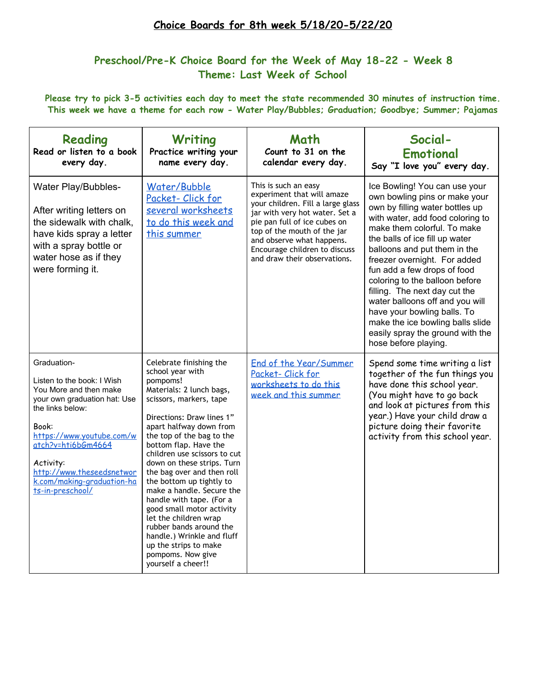# **Choice Boards for 8th week 5/18/20-5/22/20**

# **Preschool/Pre-K Choice Board for the Week of May 18-22 - Week 8 Theme: Last Week of School**

Please try to pick 3-5 activities each day to meet the state recommended 30 minutes of instruction time. **This week we have a theme for each row - Water Play/Bubbles; Graduation; Goodbye; Summer; Pajamas**

| Reading<br>Read or listen to a book<br>every day.                                                                                                                                                                                                                               | Writing<br>Practice writing your<br>name every day.                                                                                                                                                                                                                                                                                                                                                                                                                                                                                                                                              | Math<br>Count to 31 on the<br>calendar every day.                                                                                                                                                                                                                                      | Social-<br>Emotional<br>Say "I love you" every day.                                                                                                                                                                                                                                                                                                                                                                                                                                                                                        |
|---------------------------------------------------------------------------------------------------------------------------------------------------------------------------------------------------------------------------------------------------------------------------------|--------------------------------------------------------------------------------------------------------------------------------------------------------------------------------------------------------------------------------------------------------------------------------------------------------------------------------------------------------------------------------------------------------------------------------------------------------------------------------------------------------------------------------------------------------------------------------------------------|----------------------------------------------------------------------------------------------------------------------------------------------------------------------------------------------------------------------------------------------------------------------------------------|--------------------------------------------------------------------------------------------------------------------------------------------------------------------------------------------------------------------------------------------------------------------------------------------------------------------------------------------------------------------------------------------------------------------------------------------------------------------------------------------------------------------------------------------|
| Water Play/Bubbles-<br>After writing letters on<br>the sidewalk with chalk,<br>have kids spray a letter<br>with a spray bottle or<br>water hose as if they<br>were forming it.                                                                                                  | Water/Bubble<br>Packet-Click for<br>several worksheets<br>to do this week and<br>this summer                                                                                                                                                                                                                                                                                                                                                                                                                                                                                                     | This is such an easy<br>experiment that will amaze<br>your children. Fill a large glass<br>jar with very hot water. Set a<br>pie pan full of ice cubes on<br>top of the mouth of the jar<br>and observe what happens.<br>Encourage children to discuss<br>and draw their observations. | Ice Bowling! You can use your<br>own bowling pins or make your<br>own by filling water bottles up<br>with water, add food coloring to<br>make them colorful. To make<br>the balls of ice fill up water<br>balloons and put them in the<br>freezer overnight. For added<br>fun add a few drops of food<br>coloring to the balloon before<br>filling. The next day cut the<br>water balloons off and you will<br>have your bowling balls. To<br>make the ice bowling balls slide<br>easily spray the ground with the<br>hose before playing. |
| Graduation-<br>Listen to the book: I Wish<br>You More and then make<br>your own graduation hat: Use<br>the links below:<br>Book:<br>https://www.youtube.com/w<br>atch?v=hti6bGm4664<br>Activity:<br>http://www.theseedsnetwor<br>k.com/making-graduation-ha<br>ts-in-preschool/ | Celebrate finishing the<br>school year with<br>pompoms!<br>Materials: 2 lunch bags,<br>scissors, markers, tape<br>Directions: Draw lines 1"<br>apart halfway down from<br>the top of the bag to the<br>bottom flap. Have the<br>children use scissors to cut<br>down on these strips. Turn<br>the bag over and then roll<br>the bottom up tightly to<br>make a handle. Secure the<br>handle with tape. (For a<br>good small motor activity<br>let the children wrap<br>rubber bands around the<br>handle.) Wrinkle and fluff<br>up the strips to make<br>pompoms. Now give<br>yourself a cheer!! | End of the Year/Summer<br>Packet-Click for<br>worksheets to do this<br>week and this summer                                                                                                                                                                                            | Spend some time writing a list<br>together of the fun things you<br>have done this school year.<br>(You might have to go back<br>and look at pictures from this<br>year.) Have your child draw a<br>picture doing their favorite<br>activity from this school year.                                                                                                                                                                                                                                                                        |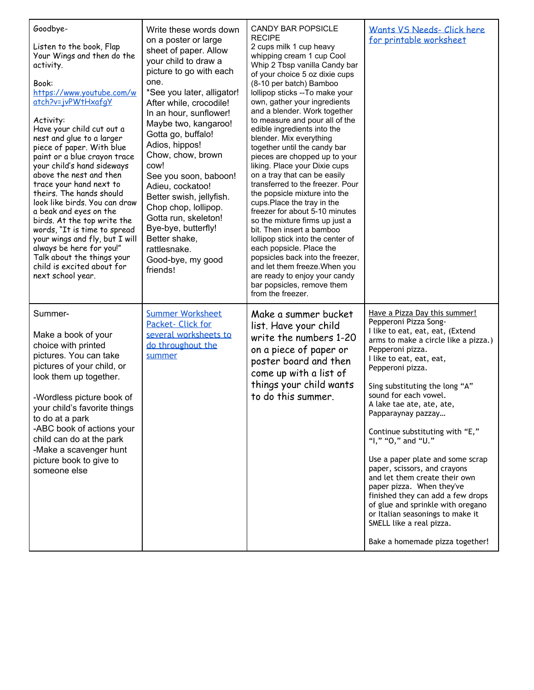| Goodbye-<br>Listen to the book, Flap<br>Your Wings and then do the<br>activity.<br>Book:<br>https://www.youtube.com/w<br>atch?v=jvPWtHxafgY<br>Activity:<br>Have your child cut out a<br>nest and glue to a larger<br>piece of paper. With blue<br>paint or a blue crayon trace<br>your child's hand sideways<br>above the nest and then<br>trace your hand next to<br>theirs. The hands should<br>look like birds. You can draw<br>a beak and eyes on the<br>birds. At the top write the<br>words, "It is time to spread<br>your wings and fly, but I will<br>always be here for you!"<br>Talk about the things your<br>child is excited about for<br>next school year. | Write these words down<br>on a poster or large<br>sheet of paper. Allow<br>your child to draw a<br>picture to go with each<br>one.<br>*See you later, alligator!<br>After while, crocodile!<br>In an hour, sunflower!<br>Maybe two, kangaroo!<br>Gotta go, buffalo!<br>Adios, hippos!<br>Chow, chow, brown<br>cow!<br>See you soon, baboon!<br>Adieu, cockatoo!<br>Better swish, jellyfish.<br>Chop chop, lollipop.<br>Gotta run, skeleton!<br>Bye-bye, butterfly!<br>Better shake,<br>rattlesnake.<br>Good-bye, my good<br>friends! | <b>CANDY BAR POPSICLE</b><br><b>RECIPE</b><br>2 cups milk 1 cup heavy<br>whipping cream 1 cup Cool<br>Whip 2 Tbsp vanilla Candy bar<br>of your choice 5 oz dixie cups<br>(8-10 per batch) Bamboo<br>lollipop sticks -- To make your<br>own, gather your ingredients<br>and a blender. Work together<br>to measure and pour all of the<br>edible ingredients into the<br>blender. Mix everything<br>together until the candy bar<br>pieces are chopped up to your<br>liking. Place your Dixie cups<br>on a tray that can be easily<br>transferred to the freezer. Pour<br>the popsicle mixture into the<br>cups.Place the tray in the<br>freezer for about 5-10 minutes<br>so the mixture firms up just a<br>bit. Then insert a bamboo<br>lollipop stick into the center of<br>each popsicle. Place the<br>popsicles back into the freezer,<br>and let them freeze. When you<br>are ready to enjoy your candy<br>bar popsicles, remove them<br>from the freezer. | Wants VS Needs- Click here<br>for printable worksheet                                                                                                                                                                                                                                                                                                                                                                                                                                                                                                                                                                                                                                        |
|--------------------------------------------------------------------------------------------------------------------------------------------------------------------------------------------------------------------------------------------------------------------------------------------------------------------------------------------------------------------------------------------------------------------------------------------------------------------------------------------------------------------------------------------------------------------------------------------------------------------------------------------------------------------------|--------------------------------------------------------------------------------------------------------------------------------------------------------------------------------------------------------------------------------------------------------------------------------------------------------------------------------------------------------------------------------------------------------------------------------------------------------------------------------------------------------------------------------------|-----------------------------------------------------------------------------------------------------------------------------------------------------------------------------------------------------------------------------------------------------------------------------------------------------------------------------------------------------------------------------------------------------------------------------------------------------------------------------------------------------------------------------------------------------------------------------------------------------------------------------------------------------------------------------------------------------------------------------------------------------------------------------------------------------------------------------------------------------------------------------------------------------------------------------------------------------------------|----------------------------------------------------------------------------------------------------------------------------------------------------------------------------------------------------------------------------------------------------------------------------------------------------------------------------------------------------------------------------------------------------------------------------------------------------------------------------------------------------------------------------------------------------------------------------------------------------------------------------------------------------------------------------------------------|
| Summer-<br>Make a book of your<br>choice with printed<br>pictures. You can take<br>pictures of your child, or<br>look them up together.<br>-Wordless picture book of<br>your child's favorite things<br>to do at a park<br>-ABC book of actions your<br>child can do at the park<br>-Make a scavenger hunt<br>picture book to give to<br>someone else                                                                                                                                                                                                                                                                                                                    | <b>Summer Worksheet</b><br>Packet- Click for<br>several worksheets to<br>do throughout the<br>summer                                                                                                                                                                                                                                                                                                                                                                                                                                 | Make a summer bucket<br>list. Have your child<br>write the numbers 1-20<br>on a piece of paper or<br>poster board and then<br>come up with a list of<br>things your child wants<br>to do this summer.                                                                                                                                                                                                                                                                                                                                                                                                                                                                                                                                                                                                                                                                                                                                                           | Have a Pizza Day this summer!<br>Pepperoni Pizza Song-<br>I like to eat, eat, eat, (Extend<br>arms to make a circle like a pizza.)<br>Pepperoni pizza.<br>I like to eat, eat, eat,<br>Pepperoni pizza.<br>Sing substituting the long "A"<br>sound for each vowel.<br>A lake tae ate, ate, ate,<br>Papparaynay pazzay<br>Continue substituting with "E,"<br>"I," "O," and "U."<br>Use a paper plate and some scrap<br>paper, scissors, and crayons<br>and let them create their own<br>paper pizza. When they've<br>finished they can add a few drops<br>of glue and sprinkle with oregano<br>or Italian seasonings to make it<br>SMELL like a real pizza.<br>Bake a homemade pizza together! |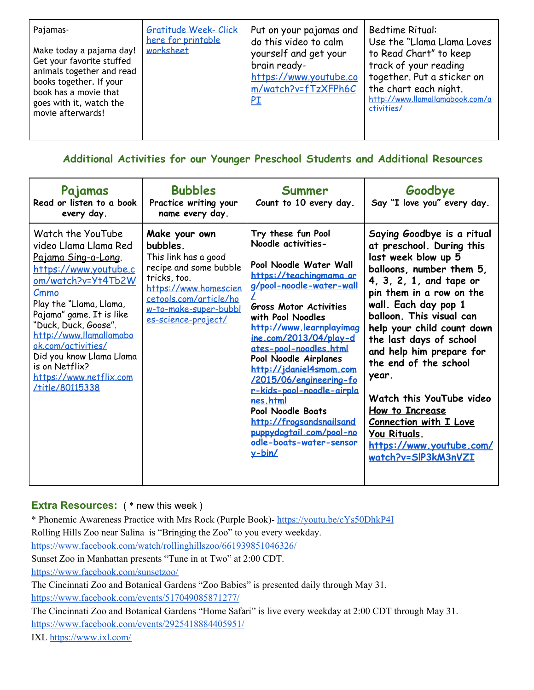| Gratitude Week- Click<br>Pajamas-<br>here for printable<br>worksheet<br>Make today a pajama day!<br>Get your favorite stuffed<br>animals together and read<br>books together. If your<br>book has a movie that<br>goes with it, watch the<br>movie afterwards! | Put on your pajamas and<br>do this video to calm<br>yourself and get your<br>brain ready-<br>https://www.youtube.co<br>m/watch?v=fTzXFPh6C<br><u>PI</u> | <b>Bedtime Ritual:</b><br>Use the "Llama Llama Loves<br>to Read Chart" to keep<br>track of your reading<br>together. Put a sticker on<br>the chart each night.<br>http://www.llamallamabook.com/a<br>ctivities/ |
|----------------------------------------------------------------------------------------------------------------------------------------------------------------------------------------------------------------------------------------------------------------|---------------------------------------------------------------------------------------------------------------------------------------------------------|-----------------------------------------------------------------------------------------------------------------------------------------------------------------------------------------------------------------|
|----------------------------------------------------------------------------------------------------------------------------------------------------------------------------------------------------------------------------------------------------------------|---------------------------------------------------------------------------------------------------------------------------------------------------------|-----------------------------------------------------------------------------------------------------------------------------------------------------------------------------------------------------------------|

**Additional Activities for our Younger Preschool Students and Additional Resources**

| Pajamas<br>Read or listen to a book<br>every day.                                                                                                                                                                                                                                                                                                                  | <b>Bubbles</b><br>Practice writing your<br>name every day.                                                                                                                                     | Summer<br>Count to 10 every day.                                                                                                                                                                                                                                                                                                                                                                                                                                                                              | Goodbye<br>Say "I love you" every day.                                                                                                                                                                                                                                                                                                                                                                                                                                                          |
|--------------------------------------------------------------------------------------------------------------------------------------------------------------------------------------------------------------------------------------------------------------------------------------------------------------------------------------------------------------------|------------------------------------------------------------------------------------------------------------------------------------------------------------------------------------------------|---------------------------------------------------------------------------------------------------------------------------------------------------------------------------------------------------------------------------------------------------------------------------------------------------------------------------------------------------------------------------------------------------------------------------------------------------------------------------------------------------------------|-------------------------------------------------------------------------------------------------------------------------------------------------------------------------------------------------------------------------------------------------------------------------------------------------------------------------------------------------------------------------------------------------------------------------------------------------------------------------------------------------|
| Watch the YouTube<br>video <u>Llama Llama Red</u><br><u>Pajama Sing-a-Long.</u><br>https://www.youtube.c<br>om/watch?v=Yt4Tb2W<br>Cmmo<br>Play the "Llama, Llama,<br>Pajama" game. It is like<br>"Duck, Duck, Goose".<br>http://www.llamallamabo<br>ok.com/activities/<br>Did you know Llama Llama<br>is on Netflix?<br>https://www.netflix.com<br>/title/80115338 | Make your own<br>bubbles.<br>This link has a good<br>recipe and some bubble<br>tricks, too.<br>https://www.homescien<br>cetools.com/article/ho<br>w-to-make-super-bubbl<br>es-science-project/ | Try these fun Pool<br>Noodle activities-<br>Pool Noodle Water Wall<br>https://teachingmama.or<br>g/pool-noodle-water-wall<br><b>Gross Motor Activities</b><br>with Pool Noodles<br>http://www.learnplayimag<br>ine.com/2013/04/play-d<br>ates-pool-noodles.html<br>Pool Noodle Airplanes<br>http://jdaniel4smom.com<br>/2015/06/engineering-fo<br>r-kids-pool-noodle-airpla<br>nes.html<br>Pool Noodle Boats<br>http://frogsandsnailsand<br>puppydogtail.com/pool-no<br>odle-boats-water-sensor<br>$y - bin/$ | Saying Goodbye is a ritual<br>at preschool. During this<br>last week blow up 5<br>balloons, number them 5,<br>4, 3, 2, 1, and tape or<br>pin them in a row on the<br>wall. Each day pop 1<br>balloon. This visual can<br>help your child count down<br>the last days of school<br>and help him prepare for<br>the end of the school<br>year.<br>Watch this YouTube video<br>How to Increase<br><b>Connection with I Love</b><br>You Rituals.<br>https://www.youtube.com/<br>watch?v=SIP3kM3nVZI |

## **Extra Resources:** ( \* new this week )

\* Phonemic Awareness Practice with Mrs Rock (Purple Book)- <https://youtu.be/cYs50DhkP4I> Rolling Hills Zoo near Salina is "Bringing the Zoo" to you every weekday.

<https://www.facebook.com/watch/rollinghillszoo/661939851046326/>

Sunset Zoo in Manhattan presents "Tune in at Two" at 2:00 CDT.

<https://www.facebook.com/sunsetzoo/>

The Cincinnati Zoo and Botanical Gardens "Zoo Babies" is presented daily through May 31. <https://www.facebook.com/events/517049085871277/>

The Cincinnati Zoo and Botanical Gardens "Home Safari" is live every weekday at 2:00 CDT through May 31. <https://www.facebook.com/events/2925418884405951/>

IX[L](https://www.ixl.com/) <https://www.ixl.com/>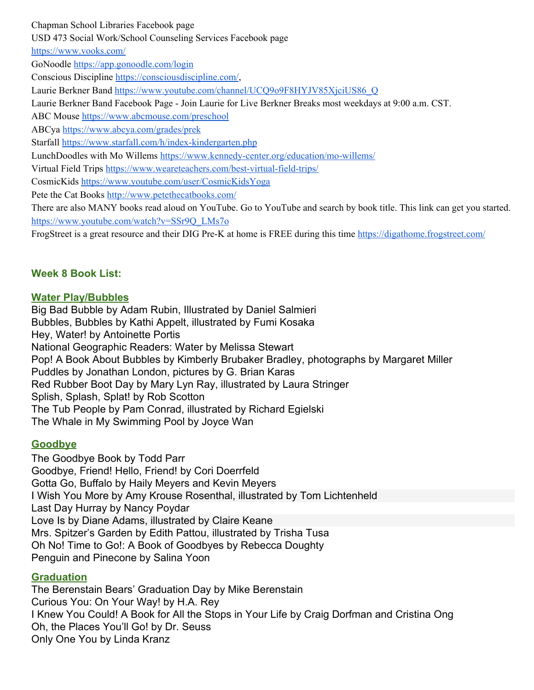Chapman School Libraries Facebook page USD 473 Social Work/School Counseling Services Facebook page <https://www.vooks.com/> GoNoodle <https://app.gonoodle.com/login> Conscious Discipline [https://consciousdiscipline.com/,](https://consciousdiscipline.com/) Laurie Berkner Band [https://www.youtube.com/channel/UCQ9o9F8HYJV85XjciUS86\\_Q](https://www.youtube.com/channel/UCQ9o9F8HYJV85XjciUS86_Q) Laurie Berkner Band Facebook Page - Join Laurie for Live Berkner Breaks most weekdays at 9:00 a.m. CST. ABC Mouse <https://www.abcmouse.com/preschool> ABCya <https://www.abcya.com/grades/prek> Starfal[l](https://www.starfall.com/h/index-kindergarten.php) <https://www.starfall.com/h/index-kindergarten.php> LunchDoodles with Mo Willems <https://www.kennedy-center.org/education/mo-willems/> Virtual Field Trips <https://www.weareteachers.com/best-virtual-field-trips/> CosmicKid[s](https://www.youtube.com/user/CosmicKidsYoga) <https://www.youtube.com/user/CosmicKidsYoga> Pete the Cat Books <http://www.petethecatbooks.com/> There are also MANY books read aloud on YouTube. Go to YouTube and search by book title. This link can get you started. [https://www.youtube.com/watch?v=SSr9Q\\_LMs7o](https://www.youtube.com/watch?v=SSr9Q_LMs7o) FrogStreet is a great resource and their DIG Pre-K at home is FREE during this tim[e](https://digathome.frogstreet.com/) <https://digathome.frogstreet.com/>

## **Week 8 Book List:**

### **Water Play/Bubbles**

Big Bad Bubble by Adam Rubin, Illustrated by Daniel Salmieri Bubbles, Bubbles by Kathi Appelt, illustrated by Fumi Kosaka Hey, Water! by Antoinette Portis National Geographic Readers: Water by Melissa Stewart Pop! A Book About Bubbles by Kimberly Brubaker Bradley, photographs by Margaret Miller Puddles by Jonathan London, pictures by G. Brian Karas Red Rubber Boot Day by Mary Lyn Ray, illustrated by Laura Stringer Splish, Splash, Splat! by Rob Scotton The Tub People by Pam Conrad, illustrated by Richard Egielski The Whale in My Swimming Pool by Joyce Wan

## **Goodbye**

The Goodbye Book by Todd Parr Goodbye, Friend! Hello, Friend! by Cori Doerrfeld [Gotta Go, Buffalo](https://www.gibbs-smith.com/Gotta-Go-Buffalo-P2063.aspx) by Haily Meyers and Kevin Meyers [I Wish You More](https://www.chroniclebooks.com/i-wish-you-more.html) by Amy Krouse Rosenthal, illustrated by Tom Lichtenheld Last Day Hurray by Nancy Poydar [Love Is](https://www.chroniclebooks.com/titles/love-is.html) by Diane Adams, illustrated by Claire Keane Mrs. Spitzer's Garden by Edith Pattou, illustrated by Trisha Tusa Oh No! Time to Go!: A Book of Goodbyes by Rebecca Doughty [Penguin and Pinecone](https://www.bloomsbury.com/us/penguin-and-pinecone-9780802728432/) by Salina Yoon

#### **Graduation**

The Berenstain Bears' Graduation Day by Mike Berenstain [Curious You: On Your Way!](http://www.barnesandnoble.com/w/curious-you-kathleen-weidner-zoehfeld/1108529540?ean=9780618919758) by H.A. Rey [I Knew You Could! A Book for All the Stops in Your Life](http://www.barnesandnoble.com/w/i-knew-you-could-craig-dorfman/1102000280?ean=9780448431482) by Craig Dorfman and Cristina Ong Oh, the Places You'll Go! by Dr. Seuss [Only One You](http://www.barnesandnoble.com/w/only-one-you-linda-kranz/1101109127?ean=9780873589017) by Linda Kranz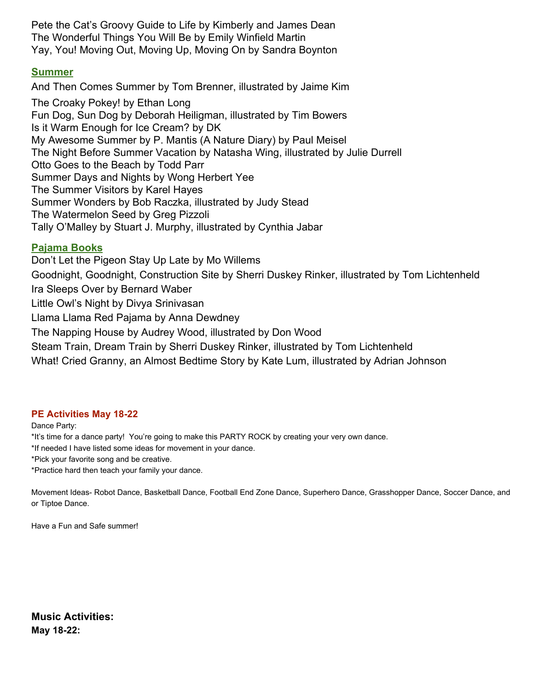Pete the Cat's Groovy Guide to Life by Kimberly and James Dean The Wonderful Things You Will Be by Emily Winfield Martin [Yay, You! Moving Out, Moving Up, Moving On](http://www.barnesandnoble.com/w/yay-you-moving-out-moving-up-moving-on-sandra-boynton/1111743325?ean=9780689842832) by Sandra Boynton

#### **Summer**

And Then Comes Summer by Tom Brenner, illustrated by Jaime Kim

[The Croaky Pokey!](https://www.amazon.com/Croaky-Pokey-Ethan-Long/dp/0823424294/ref=as_li_ss_tl?s=books&ie=UTF8&qid=1531070978&sr=1-1&keywords=the+croaky+pokey&dpID=51UVqt-GOPL&preST=_SX218_BO1,204,203,200_QL40_&dpSrc=srch&linkCode=ll1&tag=pockofpres06-20&linkId=f5bce62741022428ff7445d20857890c) by Ethan Long [Fun Dog, Sun Dog](https://www.amazon.com/Fun-Dog-Sun-Deborah-Heiligman/dp/0761458360/ref=as_li_ss_tl?s=books&ie=UTF8&qid=1531064712&sr=1-1&keywords=fun+dog+sun+dog&dpID=512HL9yUOcL&preST=_SX258_BO1,204,203,200_QL70_&dpSrc=srch&linkCode=ll1&tag=pockofpres06-20&linkId=328dea3ec0ad39798c18d8325af49bc0) by Deborah Heiligman, illustrated by Tim Bowers Is it Warm Enough for Ice Cream? by DK My Awesome Summer by P. Mantis (A Nature Diary) by Paul Meisel The Night Before Summer Vacation by Natasha Wing, illustrated by Julie Durrell Otto Goes to the Beach by Todd Parr Summer Days and Nights by Wong Herbert Yee The Summer Visitors by Karel Hayes Summer Wonders by Bob Raczka, illustrated by Judy Stead The Watermelon Seed by Greg Pizzoli Tally O'Malley by Stuart J. Murphy, illustrated by Cynthia Jabar

#### **Pajama Books**

[Don't Let the Pigeon Stay Up Late](http://www.amazon.com/gp/product/0786837462/ref=as_li_qf_sp_asin_il_tl?ie=UTF8&camp=1789&creative=9325&creativeASIN=0786837462&linkCode=as2&tag=fuada-20&linkId=QMVRQHPKLDQ2RDED) by Mo Willems [Goodnight, Goodnight, Construction Site](http://www.amazon.com/gp/product/0811877825/ref=as_li_qf_sp_asin_il_tl?ie=UTF8&camp=1789&creative=9325&creativeASIN=0811877825&linkCode=as2&tag=fuada-20&linkId=WZNNSDWBBOVYBAV4) by Sherri Duskey Rinker, illustrated by Tom Lichtenheld [Ira Sleeps Over](http://www.amazon.com/gp/product/0395205034/ref=as_li_qf_sp_asin_il_tl?ie=UTF8&camp=1789&creative=9325&creativeASIN=0395205034&linkCode=as2&tag=fuada-20&linkId=6HEAGT5KOVEYPYFO) by Bernard Waber [Little Owl's Night](http://www.amazon.com/gp/product/0670015792/ref=as_li_qf_sp_asin_il_tl?ie=UTF8&camp=1789&creative=9325&creativeASIN=0670015792&linkCode=as2&tag=fuada-20&linkId=BGFOVE2Y32OYJQK6) by Divya Srinivasan [Llama Llama Red Pajama](http://www.amazon.com/gp/product/0670059838/ref=as_li_qf_sp_asin_il_tl?ie=UTF8&camp=1789&creative=9325&creativeASIN=0670059838&linkCode=as2&tag=fuada-20&linkId=REE7HYYXP7RYMYI5) by Anna Dewdney [The Napping House](http://www.amazon.com/gp/product/0152567089/ref=as_li_qf_sp_asin_il_tl?ie=UTF8&camp=1789&creative=9325&creativeASIN=0152567089&linkCode=as2&tag=fuada-20&linkId=ZFOFUYJO2CVYDA5P) by Audrey Wood, illustrated by Don Wood [Steam Train, Dream Train](http://www.amazon.com/gp/product/1452109206/ref=as_li_qf_sp_asin_il_tl?ie=UTF8&camp=1789&creative=9325&creativeASIN=1452109206&linkCode=as2&tag=fuada-20&linkId=VD5YIQJDYNOWQMXH) by Sherri Duskey Rinker, illustrated by Tom Lichtenheld What! Cried Granny, an Almost Bedtime Story by Kate Lum, illustrated by Adrian Johnson

#### **PE Activities May 18-22**

Dance Party:

\*It's time for a dance party! You're going to make this PARTY ROCK by creating your very own dance.

\*If needed I have listed some ideas for movement in your dance.

\*Pick your favorite song and be creative.

\*Practice hard then teach your family your dance.

Movement Ideas- Robot Dance, Basketball Dance, Football End Zone Dance, Superhero Dance, Grasshopper Dance, Soccer Dance, and or Tiptoe Dance.

Have a Fun and Safe summer!

**Music Activities: May 18-22:**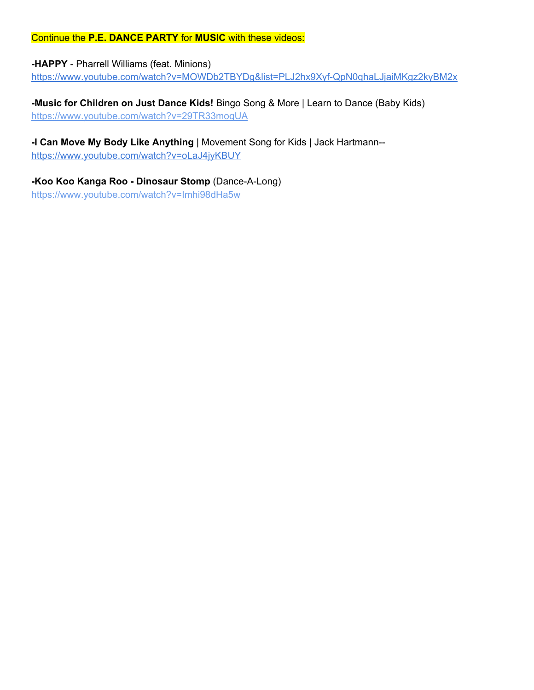#### Continue the **P.E. DANCE PARTY** for **MUSIC** with these videos:

## **-HAPPY** - Pharrell Williams (feat. Minions)

<https://www.youtube.com/watch?v=MOWDb2TBYDg&list=PLJ2hx9Xyf-QpN0qhaLJjaiMKgz2kyBM2x>

**-Music for Children on Just Dance Kids!** Bingo Song & More | Learn to Dance (Baby Kids) <https://www.youtube.com/watch?v=29TR33moqUA>

#### **-I Can Move My Body Like Anything** | Movement Song for Kids | Jack Hartmann- <https://www.youtube.com/watch?v=oLaJ4jyKBUY>

**-Koo Koo Kanga Roo - Dinosaur Stomp** (Dance-A-Long) <https://www.youtube.com/watch?v=Imhi98dHa5w>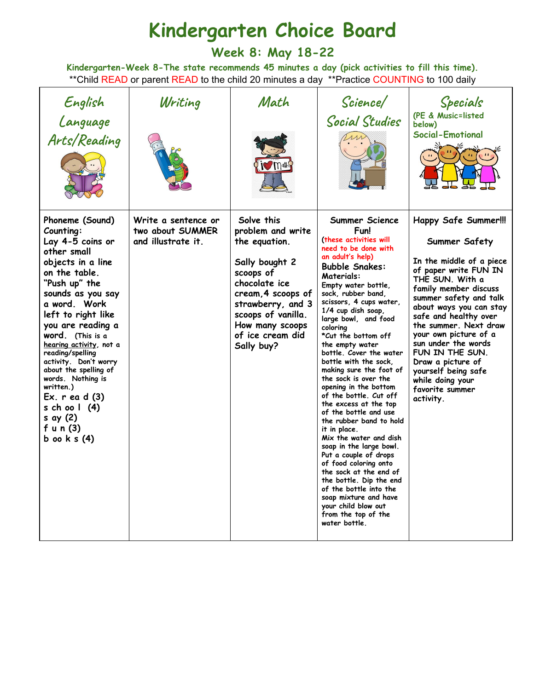# **Kindergarten Choice Board**

**Week 8: May 18-22**

**Kindergarten-Week 8-The state recommends 45 minutes a day (pick activities to fill this time).** \*\* Child READ or parent READ to the child 20 minutes a day \*\* Practice COUNTING to 100 daily

| English<br>Language<br>Arts/Reading                                                                                                                                                                                                                                                                                                                                                                                                                    | Writing                                                       | Math<br><b>i</b> mans                                                                                                                                                                                                  | Science/<br><b>Social Studies</b>                                                                                                                                                                                                                                                                                                                                                                                                                                                                                                                                                                                                                                                                                                                                                                                                                           | Specials<br>(PE & Music=listed<br>below)<br><b>Social-Emotional</b>                                                                                                                                                                                                                                                                                                                                                     |
|--------------------------------------------------------------------------------------------------------------------------------------------------------------------------------------------------------------------------------------------------------------------------------------------------------------------------------------------------------------------------------------------------------------------------------------------------------|---------------------------------------------------------------|------------------------------------------------------------------------------------------------------------------------------------------------------------------------------------------------------------------------|-------------------------------------------------------------------------------------------------------------------------------------------------------------------------------------------------------------------------------------------------------------------------------------------------------------------------------------------------------------------------------------------------------------------------------------------------------------------------------------------------------------------------------------------------------------------------------------------------------------------------------------------------------------------------------------------------------------------------------------------------------------------------------------------------------------------------------------------------------------|-------------------------------------------------------------------------------------------------------------------------------------------------------------------------------------------------------------------------------------------------------------------------------------------------------------------------------------------------------------------------------------------------------------------------|
| Phoneme (Sound)<br>Counting:<br>Lay 4-5 coins or<br>other small<br>objects in a line<br>on the table.<br>"Push up" the<br>sounds as you say<br>a word. Work<br>left to right like<br>you are reading a<br><b>word.</b> (This is a<br>hearing activity, not a<br>reading/spelling<br>activity. Don't worry<br>about the spelling of<br>words. Nothing is<br>written.)<br>$Ex. r$ ea d $(3)$<br>s ch oo $1(4)$<br>s ay (2)<br>fun $(3)$<br>b oo $k s(4)$ | Write a sentence or<br>two about SUMMER<br>and illustrate it. | Solve this<br>problem and write<br>the equation.<br>Sally bought 2<br>scoops of<br>chocolate ice<br>cream, 4 scoops of<br>strawberry, and 3<br>scoops of vanilla.<br>How many scoops<br>of ice cream did<br>Sally buy? | Summer Science<br>Fun!<br>(these activities will<br>need to be done with<br>an adult's help)<br><b>Bubble Snakes:</b><br><b>Materials:</b><br>Empty water bottle,<br>sock, rubber band,<br>scissors, 4 cups water,<br>1/4 cup dish soap,<br>large bowl, and food<br>colorina<br>*Cut the bottom off<br>the empty water<br>bottle. Cover the water<br>bottle with the sock.<br>making sure the foot of<br>the sock is over the<br>opening in the bottom<br>of the bottle. Cut off<br>the excess at the top<br>of the bottle and use<br>the rubber band to hold<br>it in place.<br>Mix the water and dish<br>soap in the large bowl.<br>Put a couple of drops<br>of food coloring onto<br>the sock at the end of<br>the bottle. Dip the end<br>of the bottle into the<br>soap mixture and have<br>your child blow out<br>from the top of the<br>water bottle. | <b>Happy Safe Summer!!!</b><br>Summer Safety<br>In the middle of a piece<br>of paper write FUN IN<br>THE SUN. With a<br>family member discuss<br>summer safety and talk<br>about ways you can stay<br>safe and healthy over<br>the summer. Next draw<br>your own picture of a<br>sun under the words<br>FUN IN THE SUN.<br>Draw a picture of<br>yourself being safe<br>while doing your<br>favorite summer<br>activity. |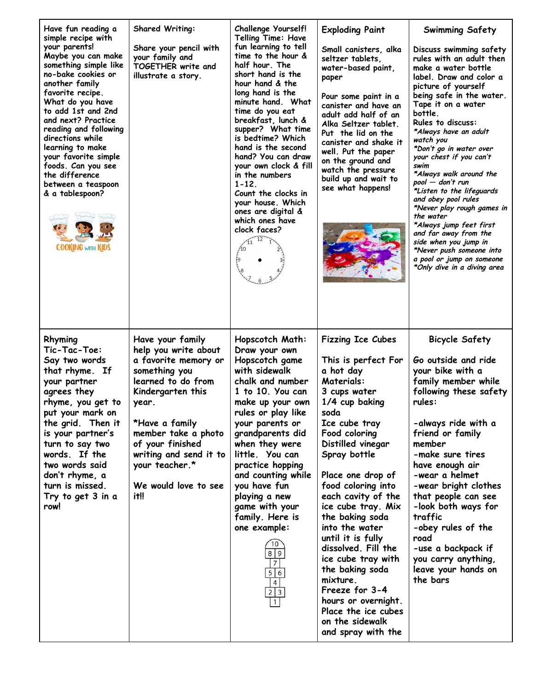| Have fun reading a<br>simple recipe with<br>your parents!<br>Maybe you can make<br>something simple like<br>no-bake cookies or<br>another family<br>favorite recipe.<br>What do you have<br>to add 1st and 2nd<br>and next? Practice<br>reading and following<br>directions while<br>learning to make<br>your favorite simple<br>foods. Can you see<br>the difference<br>between a teaspoon<br>& a tablespoon?<br><b>COOKING WITH KIDS</b> | <b>Shared Writing:</b><br>Share your pencil with<br>your family and<br>TOGETHER write and<br>illustrate a story.                                                                                                                                                              | <b>Challenge Yourself!</b><br><b>Telling Time: Have</b><br>fun learning to tell<br>time to the hour &<br>half hour. The<br>short hand is the<br>hour hand & the<br>long hand is the<br>minute hand. What<br>time do you eat<br>breakfast, lunch &<br>supper? What time<br>is bedtime? Which<br>hand is the second<br>hand? You can draw<br>your own clock & fill<br>in the numbers<br>$1 - 12$ .<br>Count the clocks in<br>your house. Which<br>ones are digital &<br>which ones have<br>clock faces?<br>12<br>A0 | <b>Exploding Paint</b><br>Small canisters, alka<br>seltzer tablets.<br>water-based paint,<br>paper<br>Pour some paint in a<br>canister and have an<br>adult add half of an<br>Alka Seltzer tablet.<br>Put the lid on the<br>canister and shake it<br>well. Put the paper<br>on the ground and<br>watch the pressure<br>build up and wait to<br>see what happens!                                                                                                                                                                         | Swimming Safety<br>Discuss swimming safety<br>rules with an adult then<br>make a water bottle<br>label. Draw and color a<br>picture of yourself<br>being safe in the water.<br>Tape it on a water<br>bottle.<br><b>Rules to discuss:</b><br>*Always have an adult<br>watch you<br>*Don't go in water over<br>your chest if you can't<br>swim<br>*Always walk around the<br>pool — don't run<br>*Listen to the lifeguards<br>and obey pool rules<br>*Never play rough games in<br>the water<br>*Always jump feet first<br>and far away from the<br>side when you jump in<br>*Never push someone into<br>a pool or jump on someone<br>*Only dive in a diving area |
|--------------------------------------------------------------------------------------------------------------------------------------------------------------------------------------------------------------------------------------------------------------------------------------------------------------------------------------------------------------------------------------------------------------------------------------------|-------------------------------------------------------------------------------------------------------------------------------------------------------------------------------------------------------------------------------------------------------------------------------|-------------------------------------------------------------------------------------------------------------------------------------------------------------------------------------------------------------------------------------------------------------------------------------------------------------------------------------------------------------------------------------------------------------------------------------------------------------------------------------------------------------------|------------------------------------------------------------------------------------------------------------------------------------------------------------------------------------------------------------------------------------------------------------------------------------------------------------------------------------------------------------------------------------------------------------------------------------------------------------------------------------------------------------------------------------------|-----------------------------------------------------------------------------------------------------------------------------------------------------------------------------------------------------------------------------------------------------------------------------------------------------------------------------------------------------------------------------------------------------------------------------------------------------------------------------------------------------------------------------------------------------------------------------------------------------------------------------------------------------------------|
| Rhyming<br>Tic-Tac-Toe:<br>Say two words<br>that rhyme. If<br>your partner<br>agrees they<br>rhyme, you get to<br>put your mark on<br>the grid. Then it<br>is your partner's<br>turn to say two<br>words. If the<br>two words said<br>don't rhyme, a<br>turn is missed.<br>Try to get 3 in a<br>row!                                                                                                                                       | Have your family<br>help you write about<br>a favorite memory or<br>something you<br>learned to do from<br>Kindergarten this<br>year.<br>*Have a family<br>member take a photo<br>of your finished<br>writing and send it to<br>your teacher.*<br>We would love to see<br>it‼ | Hopscotch Math:<br>Draw your own<br>Hopscotch game<br>with sidewalk<br>chalk and number<br>1 to 10. You can<br>make up your own<br>rules or play like<br>your parents or<br>grandparents did<br>when they were<br>little. You can<br>practice hopping<br>and counting while<br>you have fun<br>playing a new<br>game with your<br>family. Here is<br>one example:<br>10<br>8 9<br>$\overline{7}$<br>5 6<br>4<br>$2 \mid 3$<br>$\vert$ 1                                                                           | <b>Fizzing Ice Cubes</b><br>This is perfect For<br>a hot day<br><b>Materials:</b><br>3 cups water<br>1/4 cup baking<br>soda<br>Ice cube tray<br>Food coloring<br>Distilled vinegar<br>Spray bottle<br>Place one drop of<br>food coloring into<br>each cavity of the<br>ice cube tray. Mix<br>the baking soda<br>into the water<br>until it is fully<br>dissolved. Fill the<br>ice cube tray with<br>the baking soda<br>mixture.<br>Freeze for 3-4<br>hours or overnight.<br>Place the ice cubes<br>on the sidewalk<br>and spray with the | <b>Bicycle Safety</b><br>Go outside and ride<br>your bike with a<br>family member while<br>following these safety<br>rules:<br>-always ride with a<br>friend or family<br>member<br>-make sure tires<br>have enough air<br>-wear a helmet<br>-wear bright clothes<br>that people can see<br>-look both ways for<br>traffic<br>-obey rules of the<br>road<br>-use a backpack if<br>you carry anything,<br>leave your hands on<br>the bars                                                                                                                                                                                                                        |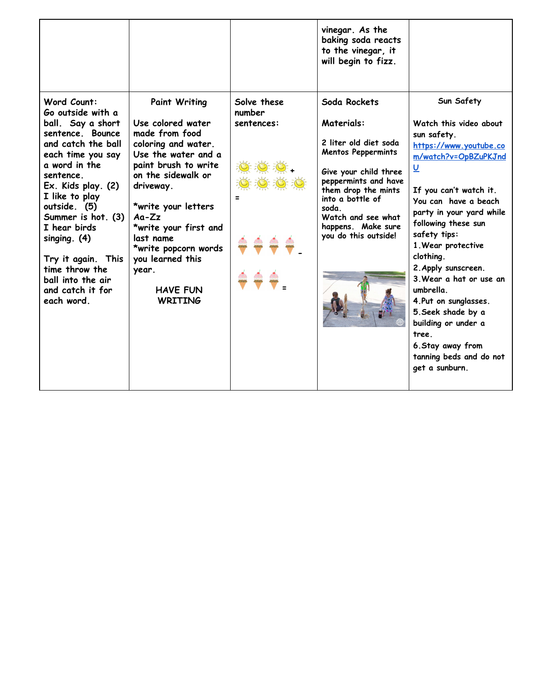|                                                                                                                                                                                                                                                                                                                                                                   |                                                                                                                                                                                                                                                                                                                                        |                                     | vinegar. As the<br>baking soda reacts<br>to the vinegar, it<br>will begin to fizz.                                                                                                                                                                               |                                                                                                                                                                                                                                                                                                                                                                                                                                                                                                          |
|-------------------------------------------------------------------------------------------------------------------------------------------------------------------------------------------------------------------------------------------------------------------------------------------------------------------------------------------------------------------|----------------------------------------------------------------------------------------------------------------------------------------------------------------------------------------------------------------------------------------------------------------------------------------------------------------------------------------|-------------------------------------|------------------------------------------------------------------------------------------------------------------------------------------------------------------------------------------------------------------------------------------------------------------|----------------------------------------------------------------------------------------------------------------------------------------------------------------------------------------------------------------------------------------------------------------------------------------------------------------------------------------------------------------------------------------------------------------------------------------------------------------------------------------------------------|
| Word Count:<br>Go outside with a<br>ball. Say a short<br>sentence. Bounce<br>and catch the ball<br>each time you say<br>a word in the<br>sentence.<br>Ex. Kids play. (2)<br>I like to play<br>outside. (5)<br>Summer is hot. (3)<br>I hear birds<br>singing. $(4)$<br>Try it again. This<br>time throw the<br>ball into the air<br>and catch it for<br>each word. | <b>Paint Writing</b><br>Use colored water<br>made from food<br>coloring and water.<br>Use the water and a<br>paint brush to write<br>on the sidewalk or<br>driveway.<br>*write your letters<br>$Aa-Zz$<br>*write your first and<br>last name<br>*write popcorn words<br>you learned this<br>year.<br><b>HAVE FUN</b><br><b>WRITING</b> | Solve these<br>number<br>sentences: | Soda Rockets<br><b>Materials:</b><br>2 liter old diet soda<br><b>Mentos Peppermints</b><br>Give your child three<br>peppermints and have<br>them drop the mints<br>into a bottle of<br>soda.<br>Watch and see what<br>happens. Make sure<br>you do this outside! | Sun Safety<br>Watch this video about<br>sun safety.<br>https://www.youtube.co<br>m/watch?v=OpBZuPKJnd<br>$\underline{\mathsf{U}}$<br>If you can't watch it.<br>You can have a beach<br>party in your yard while<br>following these sun<br>safety tips:<br>1. Wear protective<br>clothing.<br>2. Apply sunscreen.<br>3. Wear a hat or use an<br>umbrella.<br>4. Put on sunglasses.<br>5. Seek shade by a<br>building or under a<br>tree<br>6. Stay away from<br>tanning beds and do not<br>get a sunburn. |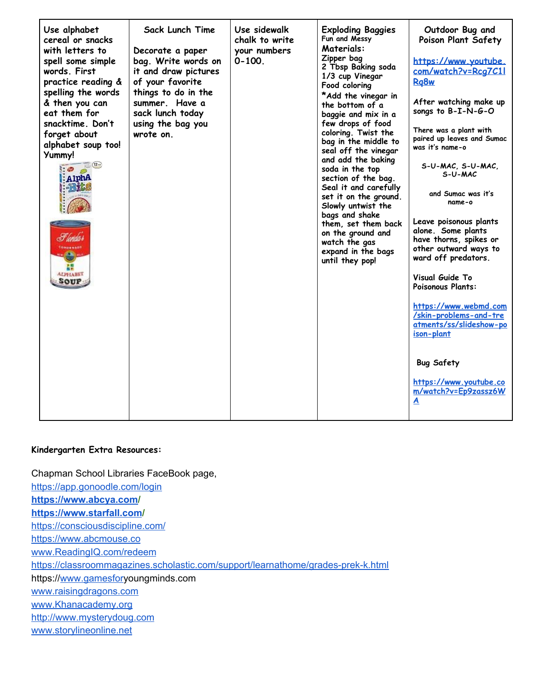| Use alphabet<br>cereal or snacks<br>with letters to<br>spell some simple<br>words. First<br>practice reading &<br>spelling the words<br>& then you can<br>eat them for<br>snacktime. Don't<br>forget about<br>alphabet soup too!<br>Yummy!<br>$\sqrt{12}$<br>$\bullet$<br>AlphA<br>$= 5.5$<br>I londa s<br>CONDENSED<br>$-60$<br>縹<br><b>ALPHABET</b><br>SOUP | Sack Lunch Time<br>Decorate a paper<br>bag. Write words on<br>it and draw pictures<br>of your favorite<br>things to do in the<br>summer. Have a<br>sack lunch today<br>using the bag you<br>wrote on. | Use sidewalk<br>chalk to write<br>your numbers<br>$0 - 100$ | <b>Exploding Baggies</b><br>Fun and Messy<br>Materials:<br>Zipper bag<br>2 Tbsp Baking soda<br>1/3 cup Vinegar<br>Food coloring<br>*Add the vinegar in<br>the bottom of a<br>baggie and mix in a<br>few drops of food<br>coloring. Twist the<br>bag in the middle to<br>seal off the vinegar<br>and add the baking<br>soda in the top<br>section of the bag.<br>Seal it and carefully<br>set it on the ground.<br>Slowly untwist the<br>bags and shake<br>them, set them back<br>on the ground and<br>watch the gas<br>expand in the bags<br>until they pop! | Outdoor Bug and<br>Poison Plant Safety<br>https://www.youtube.<br>com/watch?v=Rcg7C11<br>Ra <sub>8w</sub><br>After watching make up<br>songs to B-I-N-G-O<br>There was a plant with<br>paired up leaves and Sumac<br>was it's name-o<br>S-U-MAC, S-U-MAC,<br>S-U-MAC<br>and Sumac was it's<br>name-o<br>Leave poisonous plants<br>alone. Some plants<br>have thorns, spikes or<br>other outward ways to<br>ward off predators.<br>Visual Guide To<br>Poisonous Plants:<br>https://www.webmd.com<br>/skin-problems-and-tre<br>atments/ss/slideshow-po<br>ison-plant<br><b>Bug Safety</b><br>https://www.youtube.co<br>m/watch?v=Ep9zassz6W<br>A |
|---------------------------------------------------------------------------------------------------------------------------------------------------------------------------------------------------------------------------------------------------------------------------------------------------------------------------------------------------------------|-------------------------------------------------------------------------------------------------------------------------------------------------------------------------------------------------------|-------------------------------------------------------------|--------------------------------------------------------------------------------------------------------------------------------------------------------------------------------------------------------------------------------------------------------------------------------------------------------------------------------------------------------------------------------------------------------------------------------------------------------------------------------------------------------------------------------------------------------------|------------------------------------------------------------------------------------------------------------------------------------------------------------------------------------------------------------------------------------------------------------------------------------------------------------------------------------------------------------------------------------------------------------------------------------------------------------------------------------------------------------------------------------------------------------------------------------------------------------------------------------------------|
|---------------------------------------------------------------------------------------------------------------------------------------------------------------------------------------------------------------------------------------------------------------------------------------------------------------------------------------------------------------|-------------------------------------------------------------------------------------------------------------------------------------------------------------------------------------------------------|-------------------------------------------------------------|--------------------------------------------------------------------------------------------------------------------------------------------------------------------------------------------------------------------------------------------------------------------------------------------------------------------------------------------------------------------------------------------------------------------------------------------------------------------------------------------------------------------------------------------------------------|------------------------------------------------------------------------------------------------------------------------------------------------------------------------------------------------------------------------------------------------------------------------------------------------------------------------------------------------------------------------------------------------------------------------------------------------------------------------------------------------------------------------------------------------------------------------------------------------------------------------------------------------|

#### **Kindergarten Extra Resources:**

Chapman School Libraries FaceBook page, <https://app.gonoodle.com/login> **[https://www.abcya.com](https://www.abcya.com/)/ [https://www.starfall.com](https://www.starfall.com/)/** <https://consciousdiscipline.com/> [https://www.abcmouse.co](https://www.abcmouse.com/) [www.ReadingIQ.com/redeem](http://www.readingiq.com/redeem) <https://classroommagazines.scholastic.com/support/learnathome/grades-prek-k.html> https://[www.gamesfory](http://www.gamesfor/)oungminds.com [www.raisingdragons.com](http://www.raisingdragons.com/) [www.Khanacademy.org](http://www.khanacademy.org/) [http://www.mysterydoug.com](http://www.mysterydoug.com/) [www.storylineonline.net](http://www.storylineonline.net/)